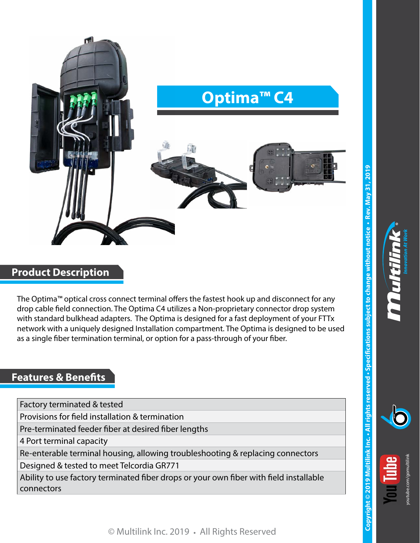

## **Product Description**

The Optima™ optical cross connect terminal offers the fastest hook up and disconnect for any drop cable field connection. The Optima C4 utilizes a Non-proprietary connector drop system with standard bulkhead adapters. The Optima is designed for a fast deployment of your FTTx network with a uniquely designed Installation compartment. The Optima is designed to be used as a single fiber termination terminal, or option for a pass-through of your fiber.

## **Features & Benefits**

Factory terminated & tested

Provisions for field installation & termination

Pre-terminated feeder fiber at desired fiber lengths

4 Port terminal capacity

Re-enterable terminal housing, allowing troubleshooting & replacing connectors

Designed & tested to meet Telcordia GR771

Ability to use factory terminated fiber drops or your own fiber with field installable connectors

[youtube.com/gomultilink](http://www.youtube.com/gomultilink)

© Multilink Inc. 2019 **•** All Rights Reserved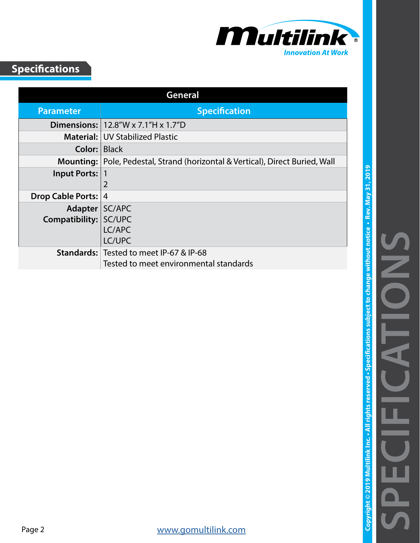

## **Specifications**

| General                  |                                                                     |
|--------------------------|---------------------------------------------------------------------|
| <b>Parameter</b>         | <b>Specification</b>                                                |
|                          | <b>Dimensions:</b>   $12.8''W \times 7.1''H \times 1.7''D$          |
|                          | <b>Material: UV Stabilized Plastic</b>                              |
| Color:                   | <b>Black</b>                                                        |
| Mounting:                | Pole, Pedestal, Strand (horizontal & Vertical), Direct Buried, Wall |
| Input Ports:             |                                                                     |
|                          | $\overline{2}$                                                      |
| <b>Drop Cable Ports:</b> | 4                                                                   |
| Adapter   SC/APC         |                                                                     |
| Compatibility:           | SC/UPC                                                              |
|                          | LC/APC                                                              |
|                          | LC/UPC                                                              |
|                          | <b>Standards: Tested to meet IP-67 &amp; IP-68</b>                  |
|                          | Tested to meet environmental standards                              |

**SPECIFICATIONS**

**Copyright © 2019 Multilink Inc. • All rights reserved • Specifications subject to change without notice • Rev. May 31, 2019**

Copyright © 2019 Multilink Inc. • All rights reserved • Specifications subject to change without notice • Rev. May 31, 2019